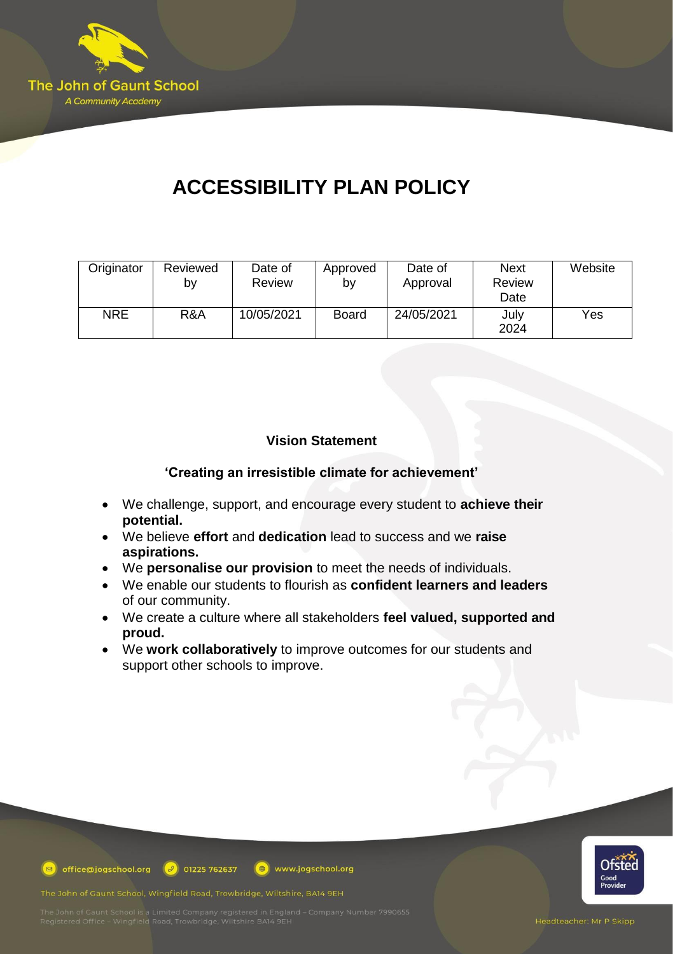

# **ACCESSIBILITY PLAN POLICY**

| Originator | Reviewed<br>b٧ | Date of<br>Review | Approved<br>b٧ | Date of<br>Approval | <b>Next</b><br>Review<br>Date | Website |
|------------|----------------|-------------------|----------------|---------------------|-------------------------------|---------|
| <b>NRE</b> | R&A            | 10/05/2021        | <b>Board</b>   | 24/05/2021          | July<br>2024                  | Yes     |

## **Vision Statement**

## **'Creating an irresistible climate for achievement'**

- We challenge, support, and encourage every student to **achieve their potential.**
- We believe **effort** and **dedication** lead to success and we **raise aspirations.**
- We **personalise our provision** to meet the needs of individuals.
- We enable our students to flourish as **confident learners and leaders** of our community.
- We create a culture where all stakeholders **feel valued, supported and proud.**
- We **work collaboratively** to improve outcomes for our students and support other schools to improve.



**D** office@jogschool.org  $\boxed{\theta}$  01225 762637 www.jogschool.org

The John of Gaunt School, Wingfield Road, Trowbridge, Wiltshire, BA14 9EH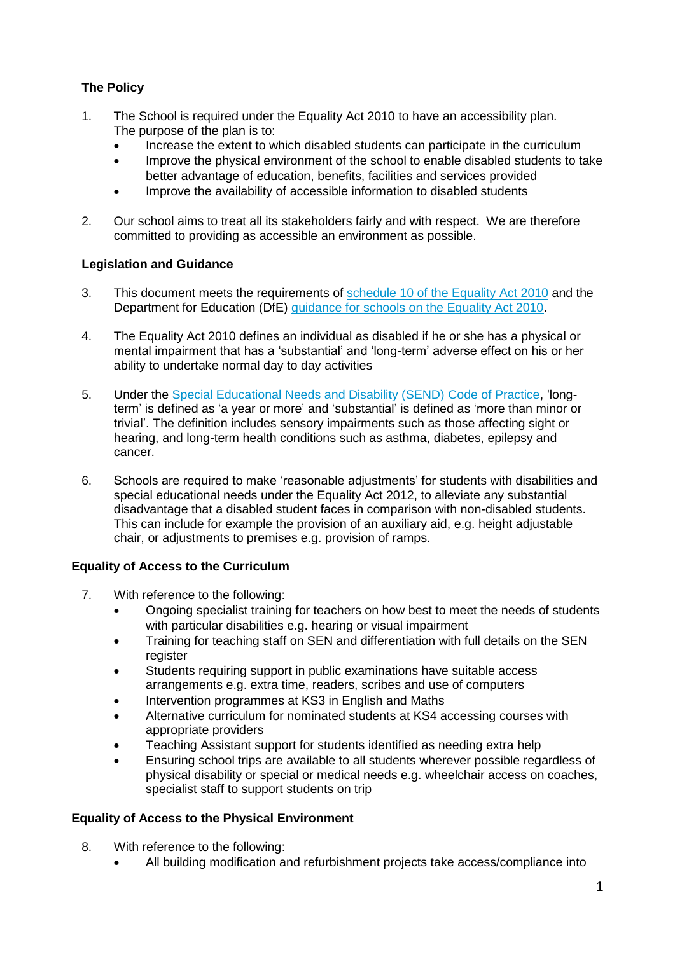## **The Policy**

- 1. The School is required under the Equality Act 2010 to have an accessibility plan. The purpose of the plan is to:
	- Increase the extent to which disabled students can participate in the curriculum
	- Improve the physical environment of the school to enable disabled students to take better advantage of education, benefits, facilities and services provided
	- Improve the availability of accessible information to disabled students
- 2. Our school aims to treat all its stakeholders fairly and with respect. We are therefore committed to providing as accessible an environment as possible.

### **Legislation and Guidance**

- 3. This document meets the requirements of schedule [10 of the Equality](http://www.legislation.gov.uk/ukpga/2010/15/schedule/10) Act 2010 and the Department for Education (DfE) [guidance for](https://www.gov.uk/government/publications/equality-act-2010-advice-for-schools) schools on the Equality Act 2010.
- 4. The Equality Act 2010 defines an individual as disabled if he or she has a physical or mental impairment that has a 'substantial' and 'long-term' adverse effect on his or her ability to undertake normal day to day activities
- 5. Under the [Special Educational Needs](https://www.gov.uk/government/publications/send-code-of-practice-0-to-25) and Disability (SEND) Code of Practice, 'longterm' is defined as 'a year or more' and 'substantial' is defined as 'more than minor or trivial'. The definition includes sensory impairments such as those affecting sight or hearing, and long-term health conditions such as asthma, diabetes, epilepsy and cancer.
- 6. Schools are required to make 'reasonable adjustments' for students with disabilities and special educational needs under the Equality Act 2012, to alleviate any substantial disadvantage that a disabled student faces in comparison with non-disabled students. This can include for example the provision of an auxiliary aid, e.g. height adjustable chair, or adjustments to premises e.g. provision of ramps.

### **Equality of Access to the Curriculum**

- 7. With reference to the following:
	- Ongoing specialist training for teachers on how best to meet the needs of students with particular disabilities e.g. hearing or visual impairment
	- Training for teaching staff on SEN and differentiation with full details on the SEN register
	- Students requiring support in public examinations have suitable access arrangements e.g. extra time, readers, scribes and use of computers
	- Intervention programmes at KS3 in English and Maths
	- Alternative curriculum for nominated students at KS4 accessing courses with appropriate providers
	- Teaching Assistant support for students identified as needing extra help
	- Ensuring school trips are available to all students wherever possible regardless of physical disability or special or medical needs e.g. wheelchair access on coaches, specialist staff to support students on trip

### **Equality of Access to the Physical Environment**

- 8. With reference to the following:
	- All building modification and refurbishment projects take access/compliance into